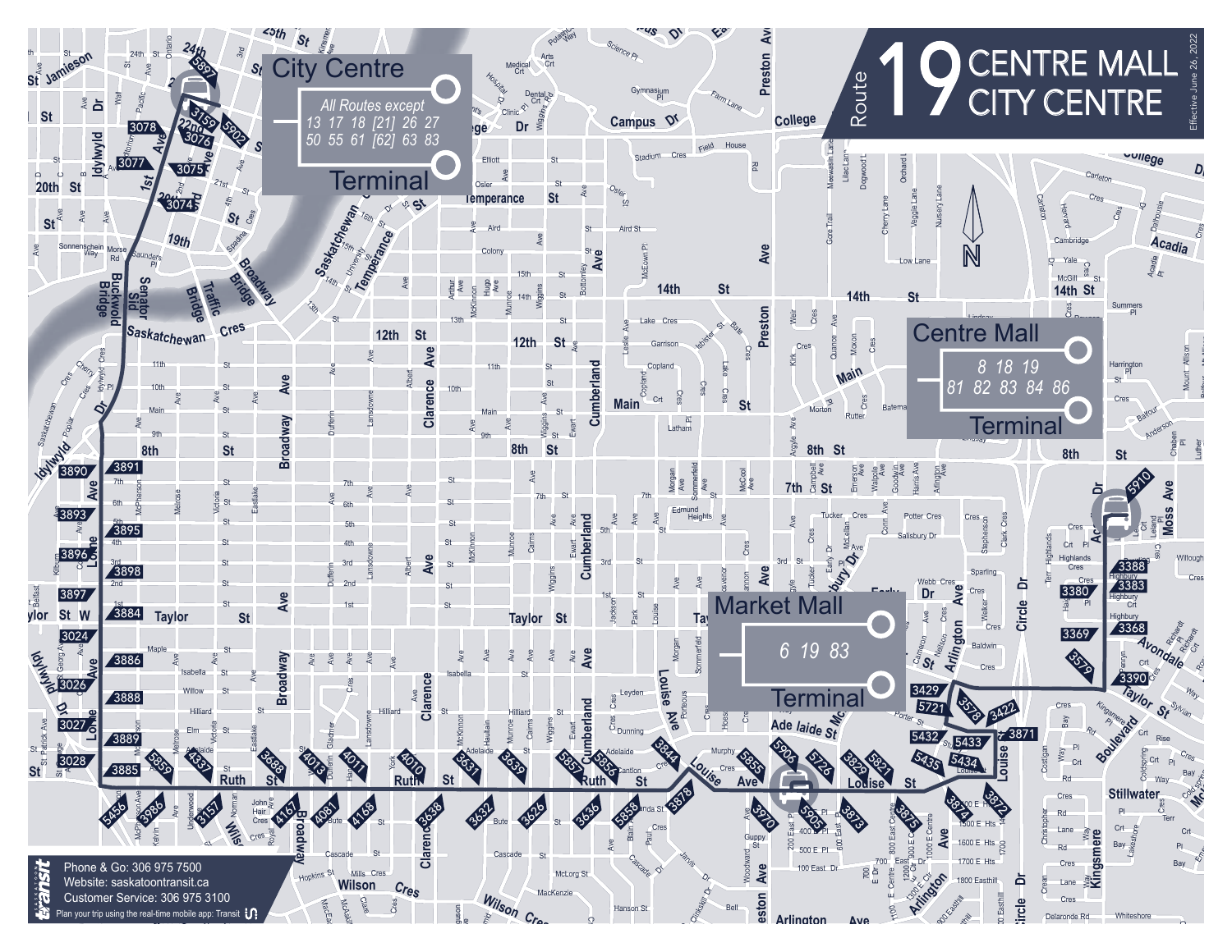